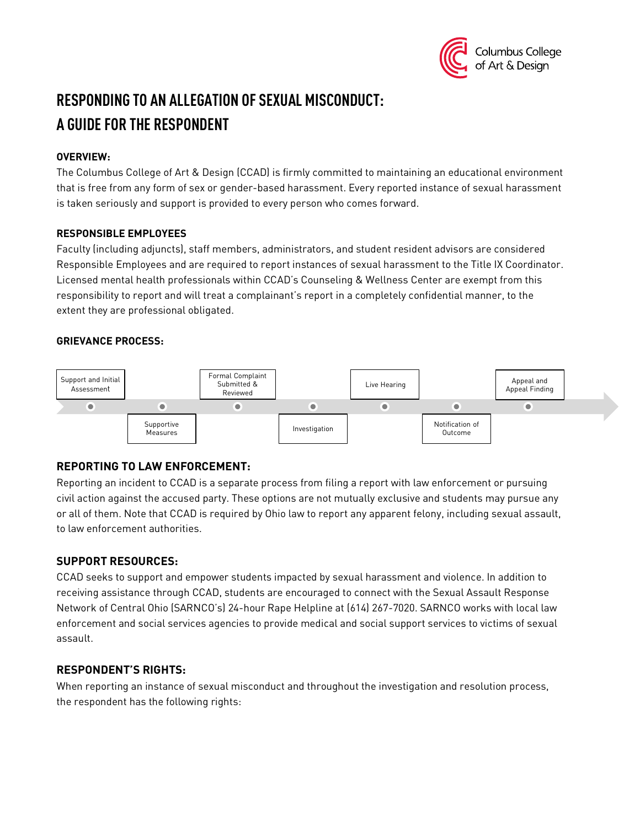

# **RESPONDING TO AN ALLEGATION OF SEXUAL MISCONDUCT: A GUIDE FOR THE RESPONDENT**

## **OVERVIEW:**

The Columbus College of Art & Design (CCAD) is firmly committed to maintaining an educational environment that is free from any form of sex or gender-based harassment. Every reported instance of sexual harassment is taken seriously and support is provided to every person who comes forward.

#### **RESPONSIBLE EMPLOYEES**

Faculty (including adjuncts), staff members, administrators, and student resident advisors are considered Responsible Employees and are required to report instances of sexual harassment to the Title IX Coordinator. Licensed mental health professionals within CCAD's Counseling & Wellness Center are exempt from this responsibility to report and will treat a complainant's report in a completely confidential manner, to the extent they are professional obligated.

#### **GRIEVANCE PROCESS:**



# **REPORTING TO LAW ENFORCEMENT:**

Reporting an incident to CCAD is a separate process from filing a report with law enforcement or pursuing civil action against the accused party. These options are not mutually exclusive and students may pursue any or all of them. Note that CCAD is required by Ohio law to report any apparent felony, including sexual assault, to law enforcement authorities.

### **SUPPORT RESOURCES:**

CCAD seeks to support and empower students impacted by sexual harassment and violence. In addition to receiving assistance through CCAD, students are encouraged to connect with the Sexual Assault Response Network of Central Ohio (SARNCO's) 24-hour Rape Helpline at (614) 267-7020. SARNCO works with local law enforcement and social services agencies to provide medical and social support services to victims of sexual assault.

# **RESPONDENT'S RIGHTS:**

When reporting an instance of sexual misconduct and throughout the investigation and resolution process, the respondent has the following rights: